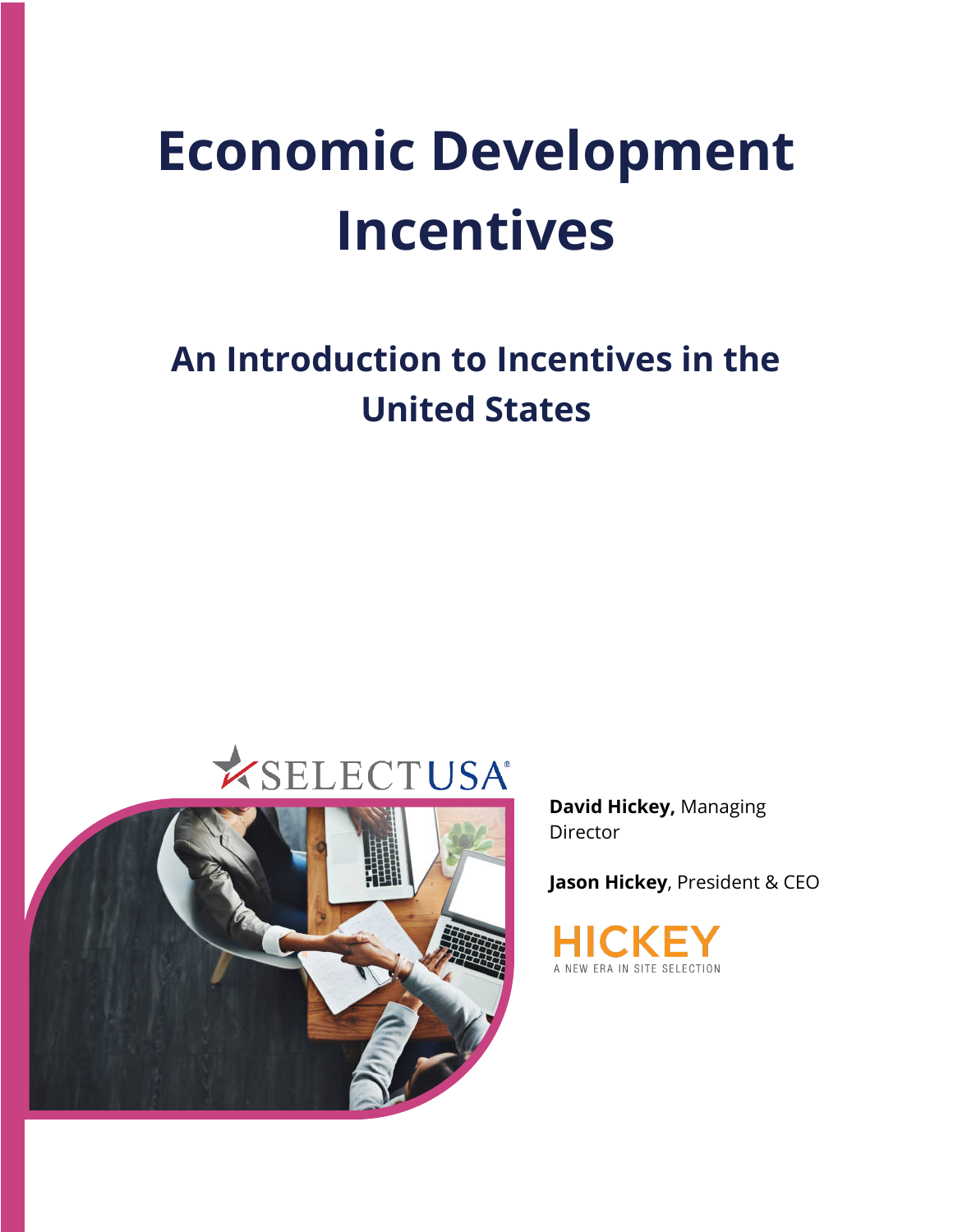# **Economic Development Incentives**

# **An Introduction to Incentives in the United States**





**David Hickey,** Managing Director

**Jason Hickey**, President & CEO

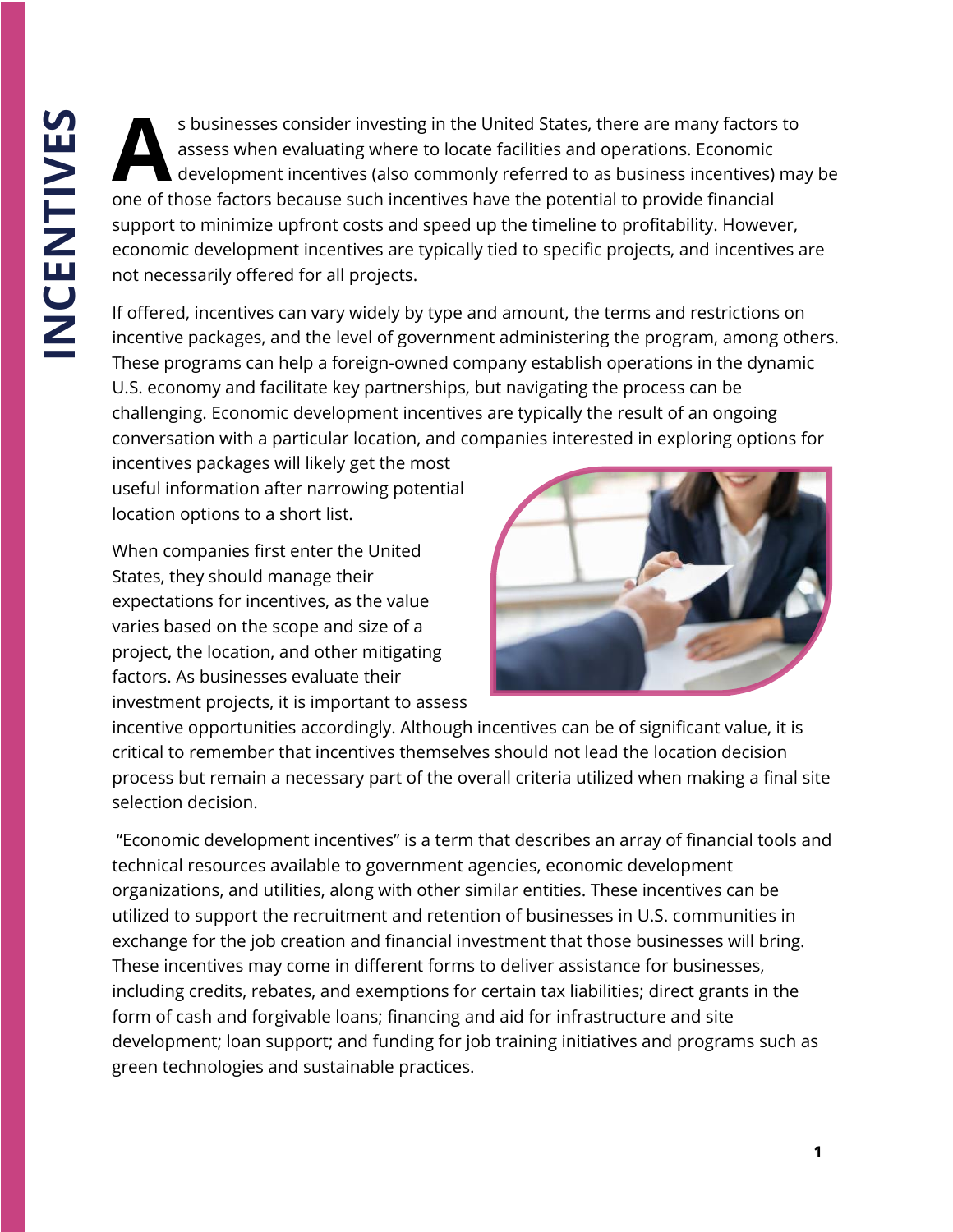s businesses consider investing in the United States, there are many factors to<br>assess when evaluating where to locate facilities and operations. Economic<br>development incentives (also commonly referred to as business incen assess when evaluating where to locate facilities and operations. Economic development incentives (also commonly referred to as business incentives) may be one of those factors because such incentives have the potential to provide financial support to minimize upfront costs and speed up the timeline to profitability. However, economic development incentives are typically tied to specific projects, and incentives are not necessarily offered for all projects.

If offered, incentives can vary widely by type and amount, the terms and restrictions on incentive packages, and the level of government administering the program, among others. These programs can help a foreign-owned company establish operations in the dynamic U.S. economy and facilitate key partnerships, but navigating the process can be challenging. Economic development incentives are typically the result of an ongoing conversation with a particular location, and companies interested in exploring options for

incentives packages will likely get the most useful information after narrowing potential location options to a short list.

When companies first enter the United States, they should manage their expectations for incentives, as the value varies based on the scope and size of a project, the location, and other mitigating factors. As businesses evaluate their investment projects, it is important to assess



incentive opportunities accordingly. Although incentives can be of significant value, it is critical to remember that incentives themselves should not lead the location decision process but remain a necessary part of the overall criteria utilized when making a final site selection decision.

"Economic development incentives" is a term that describes an array of financial tools and technical resources available to government agencies, economic development organizations, and utilities, along with other similar entities. These incentives can be utilized to support the recruitment and retention of businesses in U.S. communities in exchange for the job creation and financial investment that those businesses will bring. These incentives may come in different forms to deliver assistance for businesses, including credits, rebates, and exemptions for certain tax liabilities; direct grants in the form of cash and forgivable loans; financing and aid for infrastructure and site development; loan support; and funding for job training initiatives and programs such as green technologies and sustainable practices.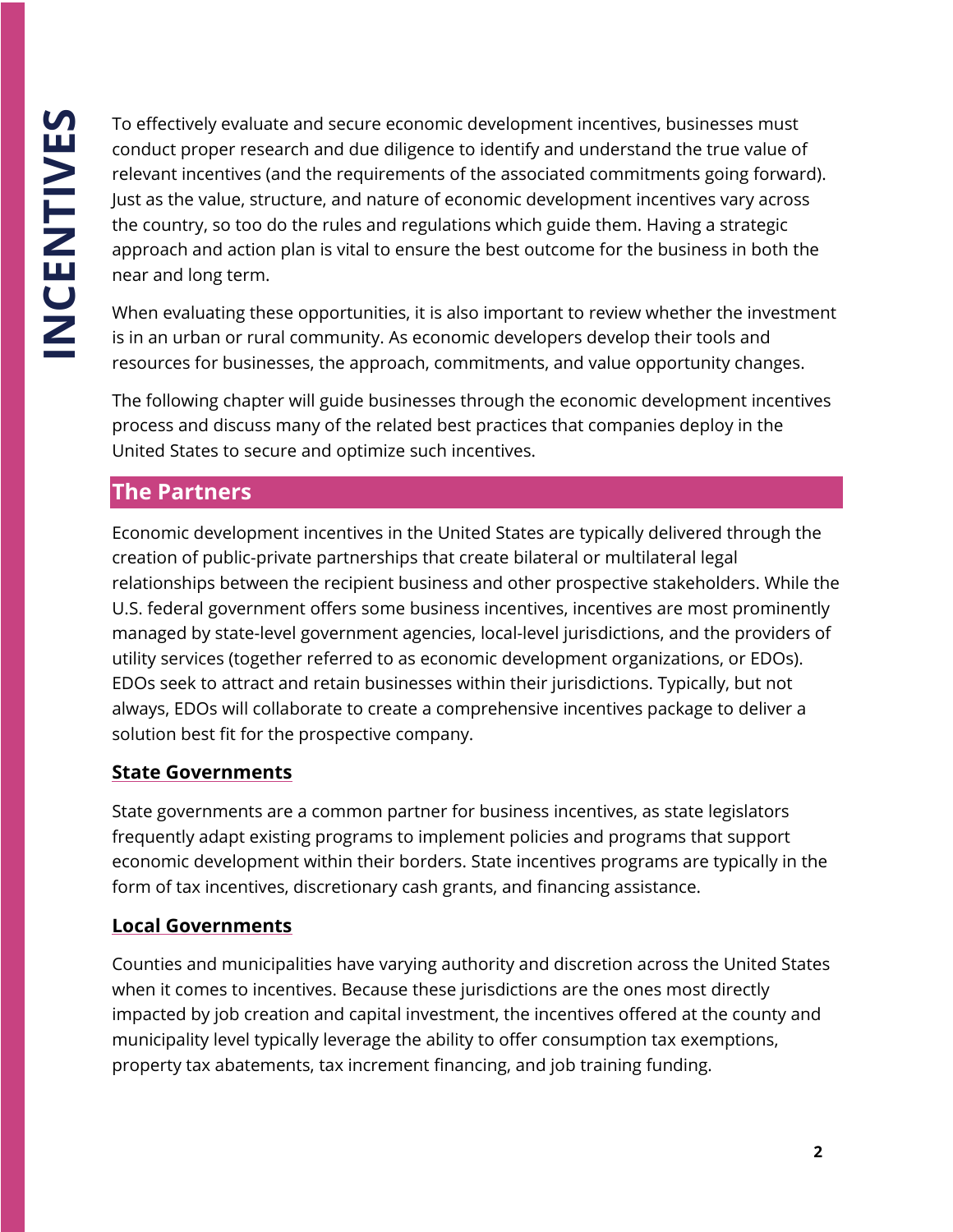To effectively evaluate and secure economic development incentives, businesses must conduct proper research and due diligence to identify and understand the true value of relevant incentives (and the requirements of the associated commitments going forward). Just as the value, structure, and nature of economic development incentives vary across the country, so too do the rules and regulations which guide them. Having a strategic approach and action plan is vital to ensure the best outcome for the business in both the near and long term.

When evaluating these opportunities, it is also important to review whether the investment is in an urban or rural community. As economic developers develop their tools and resources for businesses, the approach, commitments, and value opportunity changes.

The following chapter will guide businesses through the economic development incentives process and discuss many of the related best practices that companies deploy in the United States to secure and optimize such incentives.

#### **The Partners**

Economic development incentives in the United States are typically delivered through the creation of public-private partnerships that create bilateral or multilateral legal relationships between the recipient business and other prospective stakeholders. While the U.S. federal government offers some business incentives, incentives are most prominently managed by state-level government agencies, local-level jurisdictions, and the providers of utility services (together referred to as economic development organizations, or EDOs). EDOs seek to attract and retain businesses within their jurisdictions. Typically, but not always, EDOs will collaborate to create a comprehensive incentives package to deliver a solution best fit for the prospective company.

#### **State Governments**

State governments are a common partner for business incentives, as state legislators frequently adapt existing programs to implement policies and programs that support economic development within their borders. State incentives programs are typically in the form of tax incentives, discretionary cash grants, and financing assistance.

#### **Local Governments**

Counties and municipalities have varying authority and discretion across the United States when it comes to incentives. Because these jurisdictions are the ones most directly impacted by job creation and capital investment, the incentives offered at the county and municipality level typically leverage the ability to offer consumption tax exemptions, property tax abatements, tax increment financing, and job training funding.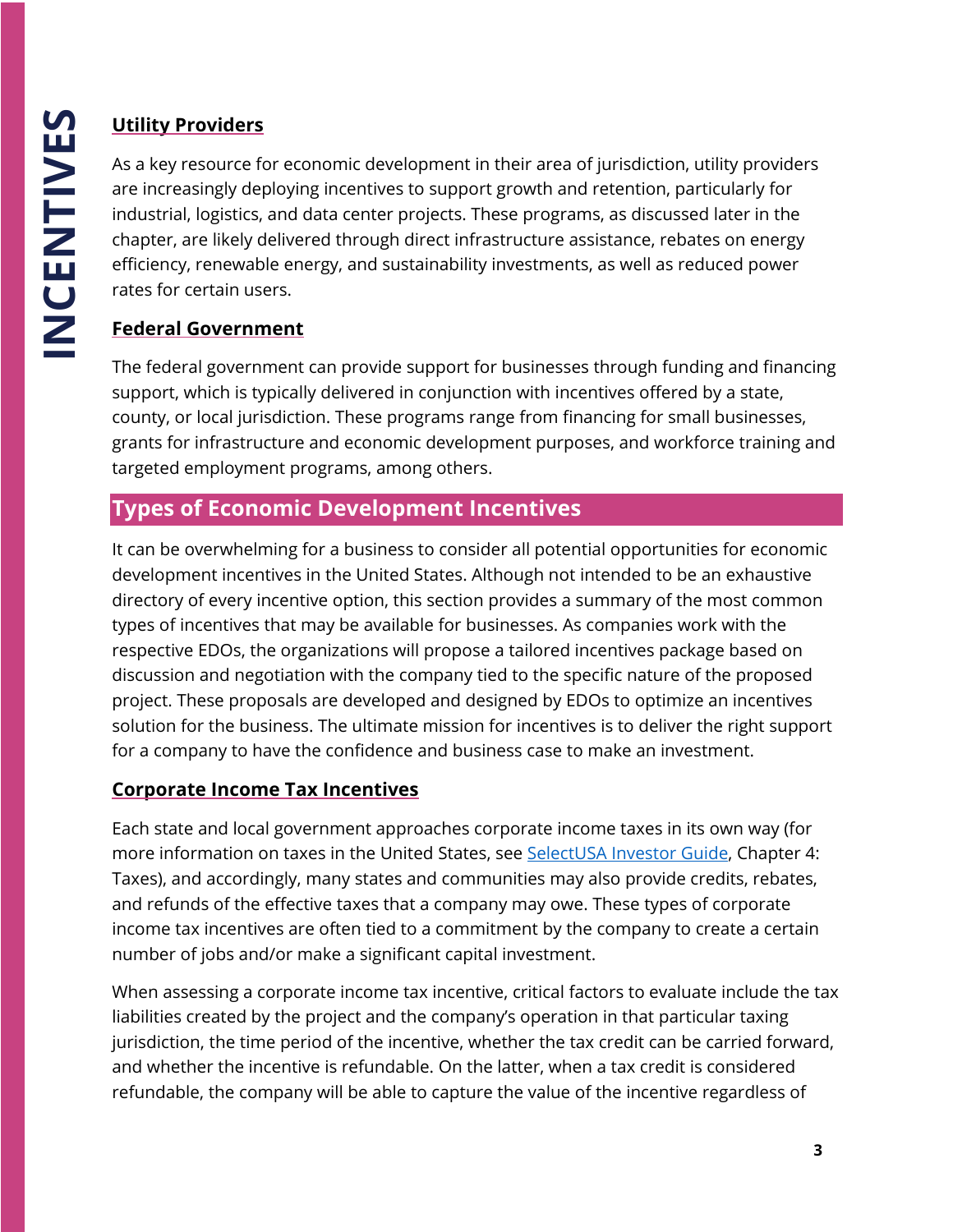# **Utility Providers**

As a key resource for economic development in their area of jurisdiction, utility providers are increasingly deploying incentives to support growth and retention, particularly for industrial, logistics, and data center projects. These programs, as discussed later in the chapter, are likely delivered through direct infrastructure assistance, rebates on energy efficiency, renewable energy, and sustainability investments, as well as reduced power rates for certain users.

# **Federal Government**

The federal government can provide support for businesses through funding and financing support, which is typically delivered in conjunction with incentives offered by a state, county, or local jurisdiction. These programs range from financing for small businesses, grants for infrastructure and economic development purposes, and workforce training and targeted employment programs, among others.

# **Types of Economic Development Incentives**

It can be overwhelming for a business to consider all potential opportunities for economic development incentives in the United States. Although not intended to be an exhaustive directory of every incentive option, this section provides a summary of the most common types of incentives that may be available for businesses. As companies work with the respective EDOs, the organizations will propose a tailored incentives package based on discussion and negotiation with the company tied to the specific nature of the proposed project. These proposals are developed and designed by EDOs to optimize an incentives solution for the business. The ultimate mission for incentives is to deliver the right support for a company to have the confidence and business case to make an investment.

#### **Corporate Income Tax Incentives**

Each state and local government approaches corporate income taxes in its own way (for more information on taxes in the United States, see [SelectUSA Investor Guide,](https://www.selectusa.gov/investor-guide) Chapter 4: Taxes), and accordingly, many states and communities may also provide credits, rebates, and refunds of the effective taxes that a company may owe. These types of corporate income tax incentives are often tied to a commitment by the company to create a certain number of jobs and/or make a significant capital investment.

When assessing a corporate income tax incentive, critical factors to evaluate include the tax liabilities created by the project and the company's operation in that particular taxing jurisdiction, the time period of the incentive, whether the tax credit can be carried forward, and whether the incentive is refundable. On the latter, when a tax credit is considered refundable, the company will be able to capture the value of the incentive regardless of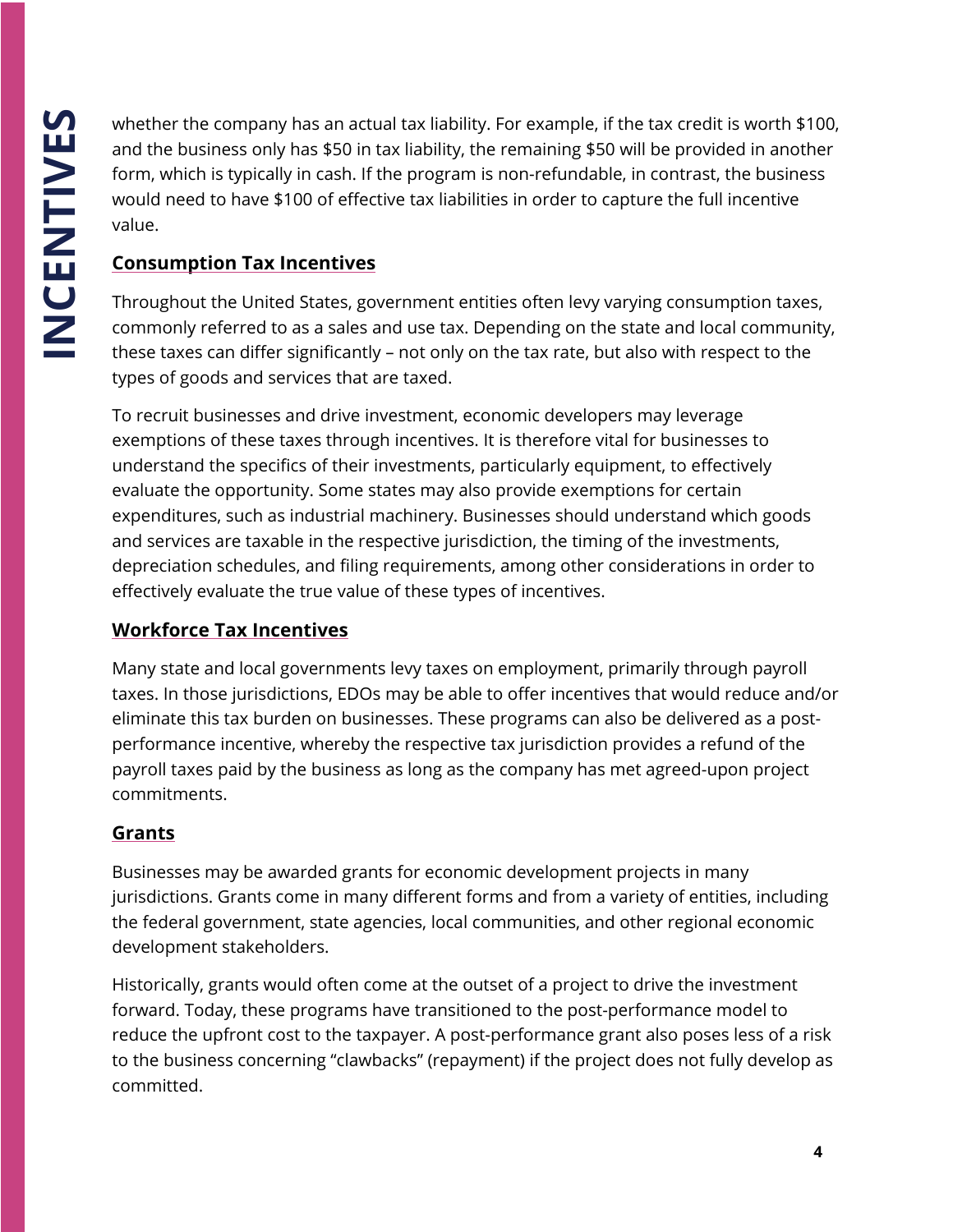whether the company has an actual tax liability. For example, if the tax credit is worth \$100, and the business only has \$50 in tax liability, the remaining \$50 will be provided in another form, which is typically in cash. If the program is non-refundable, in contrast, the business would need to have \$100 of effective tax liabilities in order to capture the full incentive value.

#### **Consumption Tax Incentives**

Throughout the United States, government entities often levy varying consumption taxes, commonly referred to as a sales and use tax. Depending on the state and local community, these taxes can differ significantly – not only on the tax rate, but also with respect to the types of goods and services that are taxed.

To recruit businesses and drive investment, economic developers may leverage exemptions of these taxes through incentives. It is therefore vital for businesses to understand the specifics of their investments, particularly equipment, to effectively evaluate the opportunity. Some states may also provide exemptions for certain expenditures, such as industrial machinery. Businesses should understand which goods and services are taxable in the respective jurisdiction, the timing of the investments, depreciation schedules, and filing requirements, among other considerations in order to effectively evaluate the true value of these types of incentives.

#### **Workforce Tax Incentives**

Many state and local governments levy taxes on employment, primarily through payroll taxes. In those jurisdictions, EDOs may be able to offer incentives that would reduce and/or eliminate this tax burden on businesses. These programs can also be delivered as a postperformance incentive, whereby the respective tax jurisdiction provides a refund of the payroll taxes paid by the business as long as the company has met agreed-upon project commitments.

#### **Grants**

Businesses may be awarded grants for economic development projects in many jurisdictions. Grants come in many different forms and from a variety of entities, including the federal government, state agencies, local communities, and other regional economic development stakeholders.

Historically, grants would often come at the outset of a project to drive the investment forward. Today, these programs have transitioned to the post-performance model to reduce the upfront cost to the taxpayer. A post-performance grant also poses less of a risk to the business concerning "clawbacks" (repayment) if the project does not fully develop as committed.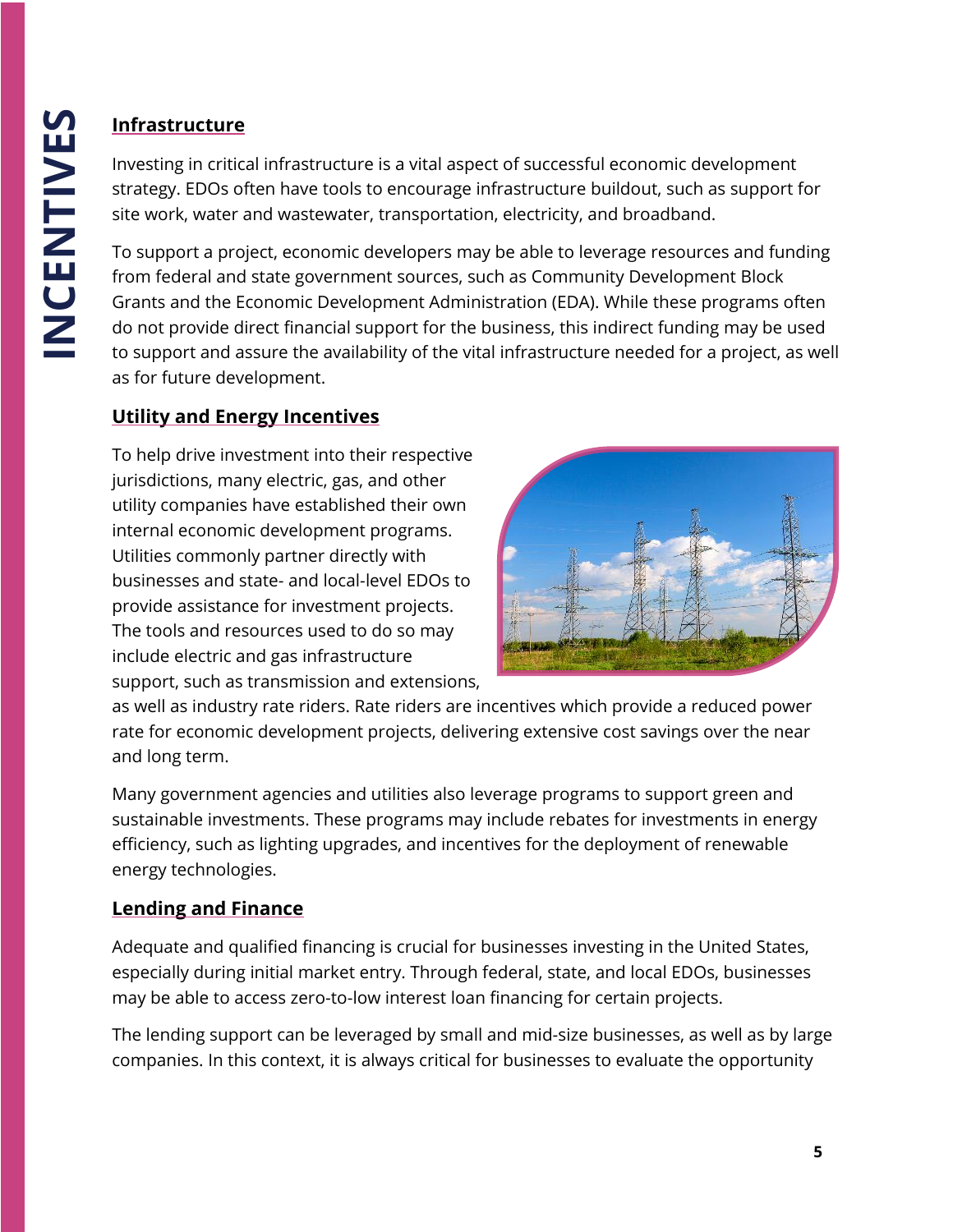# **Infrastructure**

Investing in critical infrastructure is a vital aspect of successful economic development strategy. EDOs often have tools to encourage infrastructure buildout, such as support for site work, water and wastewater, transportation, electricity, and broadband.

To support a project, economic developers may be able to leverage resources and funding from federal and state government sources, such as Community Development Block Grants and the Economic Development Administration (EDA). While these programs often do not provide direct financial support for the business, this indirect funding may be used to support and assure the availability of the vital infrastructure needed for a project, as well as for future development.

#### **Utility and Energy Incentives**

To help drive investment into their respective jurisdictions, many electric, gas, and other utility companies have established their own internal economic development programs. Utilities commonly partner directly with businesses and state- and local-level EDOs to provide assistance for investment projects. The tools and resources used to do so may include electric and gas infrastructure support, such as transmission and extensions,



as well as industry rate riders. Rate riders are incentives which provide a reduced power rate for economic development projects, delivering extensive cost savings over the near and long term.

Many government agencies and utilities also leverage programs to support green and sustainable investments. These programs may include rebates for investments in energy efficiency, such as lighting upgrades, and incentives for the deployment of renewable energy technologies.

#### **Lending and Finance**

Adequate and qualified financing is crucial for businesses investing in the United States, especially during initial market entry. Through federal, state, and local EDOs, businesses may be able to access zero-to-low interest loan financing for certain projects.

The lending support can be leveraged by small and mid-size businesses, as well as by large companies. In this context, it is always critical for businesses to evaluate the opportunity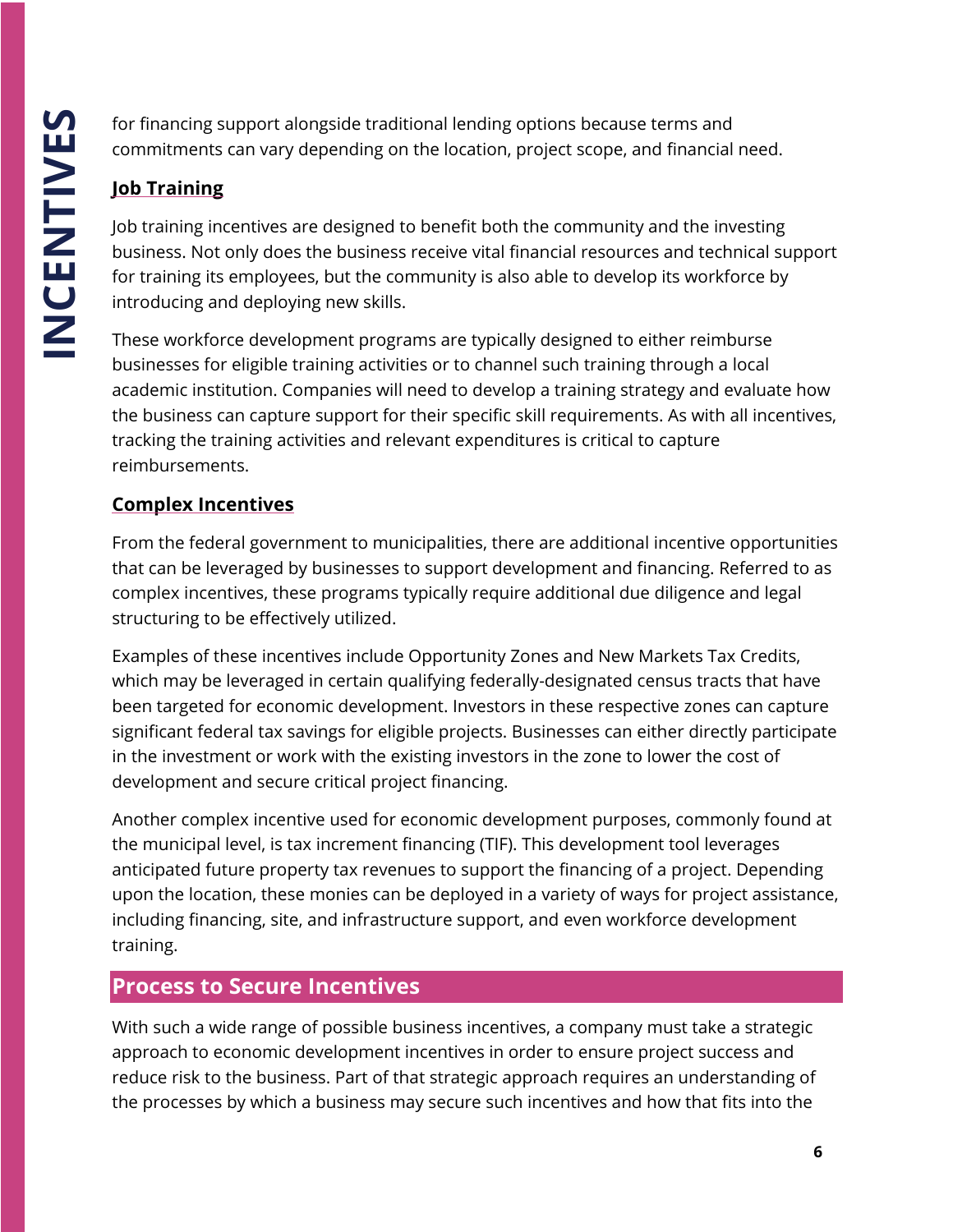for financing support alongside traditional lending options because terms and commitments can vary depending on the location, project scope, and financial need.

#### **Job Training**

Job training incentives are designed to benefit both the community and the investing business. Not only does the business receive vital financial resources and technical support for training its employees, but the community is also able to develop its workforce by introducing and deploying new skills.

These workforce development programs are typically designed to either reimburse businesses for eligible training activities or to channel such training through a local academic institution. Companies will need to develop a training strategy and evaluate how the business can capture support for their specific skill requirements. As with all incentives, tracking the training activities and relevant expenditures is critical to capture reimbursements.

#### **Complex Incentives**

From the federal government to municipalities, there are additional incentive opportunities that can be leveraged by businesses to support development and financing. Referred to as complex incentives, these programs typically require additional due diligence and legal structuring to be effectively utilized.

Examples of these incentives include Opportunity Zones and New Markets Tax Credits, which may be leveraged in certain qualifying federally-designated census tracts that have been targeted for economic development. Investors in these respective zones can capture significant federal tax savings for eligible projects. Businesses can either directly participate in the investment or work with the existing investors in the zone to lower the cost of development and secure critical project financing.

Another complex incentive used for economic development purposes, commonly found at the municipal level, is tax increment financing (TIF). This development tool leverages anticipated future property tax revenues to support the financing of a project. Depending upon the location, these monies can be deployed in a variety of ways for project assistance, including financing, site, and infrastructure support, and even workforce development training.

# **Process to Secure Incentives**

With such a wide range of possible business incentives, a company must take a strategic approach to economic development incentives in order to ensure project success and reduce risk to the business. Part of that strategic approach requires an understanding of the processes by which a business may secure such incentives and how that fits into the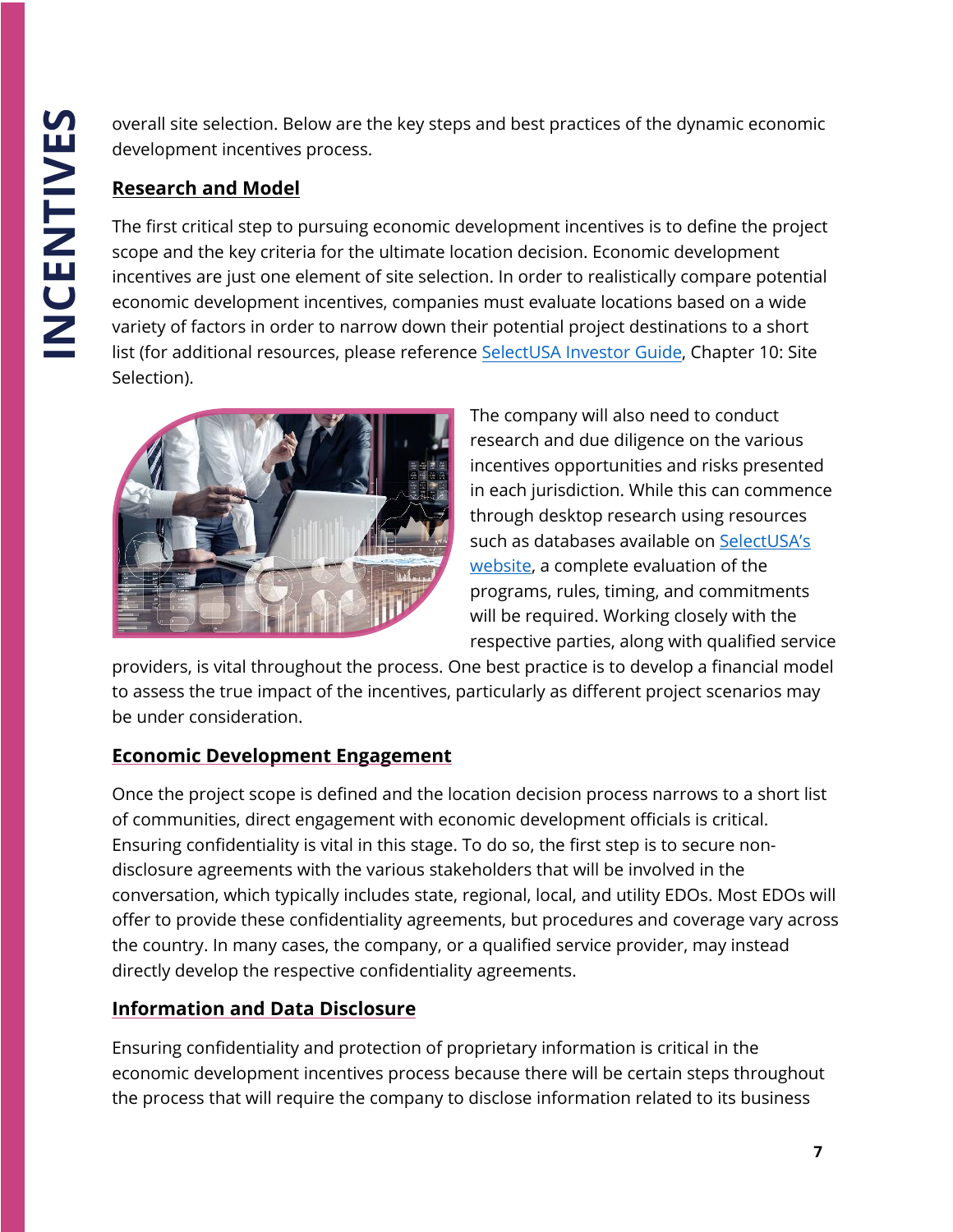overall site selection. Below are the key steps and best practices of the dynamic economic development incentives process.

#### **Research and Model**

The first critical step to pursuing economic development incentives is to define the project scope and the key criteria for the ultimate location decision. Economic development incentives are just one element of site selection. In order to realistically compare potential economic development incentives, companies must evaluate locations based on a wide variety of factors in order to narrow down their potential project destinations to a short list (for additional resources, please refere[nce SelectUSA](https://www.selectusa.gov/investor-guide) Investor Guide, Chapter 10: Site Selection).



The company will also need to conduct research and due diligence on the various incentives opportunities and risks presented in each jurisdiction. While this can commence through desktop research using resources such as databases available on [SelectUSA's](https://www.selectusa.gov/programs-and-incentives)  [website,](https://www.selectusa.gov/programs-and-incentives) a complete evaluation of the programs, rules, timing, and commitments will be required. Working closely with the respective parties, along with qualified service

providers, is vital throughout the process. One best practice is to develop a financial model to assess the true impact of the incentives, particularly as different project scenarios may be under consideration.

#### **Economic Development Engagement**

Once the project scope is defined and the location decision process narrows to a short list of communities, direct engagement with economic development officials is critical. Ensuring confidentiality is vital in this stage. To do so, the first step is to secure nondisclosure agreements with the various stakeholders that will be involved in the conversation, which typically includes state, regional, local, and utility EDOs. Most EDOs will offer to provide these confidentiality agreements, but procedures and coverage vary across the country. In many cases, the company, or a qualified service provider, may instead directly develop the respective confidentiality agreements.

#### **Information and Data Disclosure**

Ensuring confidentiality and protection of proprietary information is critical in the economic development incentives process because there will be certain steps throughout the process that will require the company to disclose information related to its business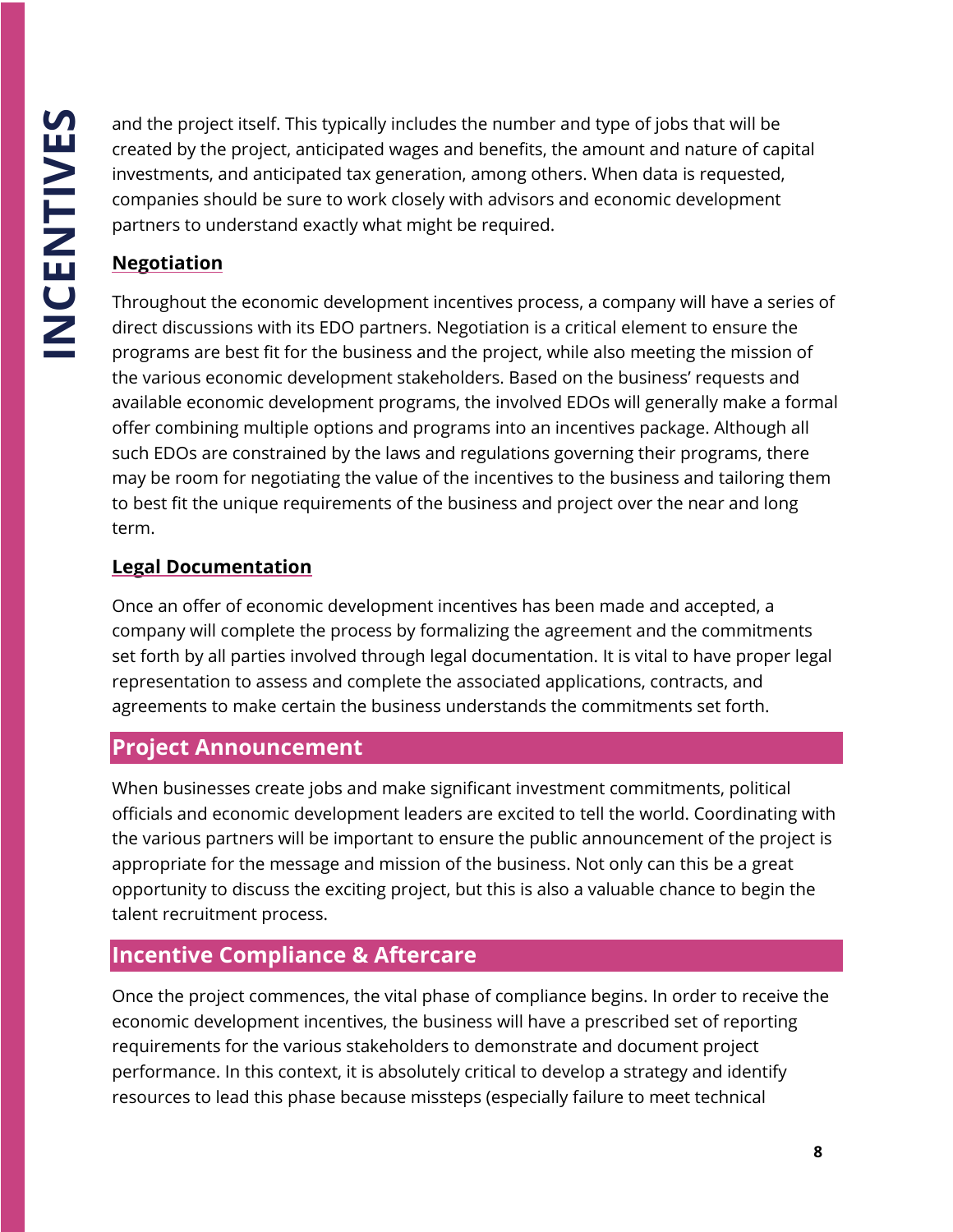and the project itself. This typically includes the number and type of jobs that will be created by the project, anticipated wages and benefits, the amount and nature of capital investments, and anticipated tax generation, among others. When data is requested, companies should be sure to work closely with advisors and economic development partners to understand exactly what might be required.

#### **Negotiation**

Throughout the economic development incentives process, a company will have a series of direct discussions with its EDO partners. Negotiation is a critical element to ensure the programs are best fit for the business and the project, while also meeting the mission of the various economic development stakeholders. Based on the business' requests and available economic development programs, the involved EDOs will generally make a formal offer combining multiple options and programs into an incentives package. Although all such EDOs are constrained by the laws and regulations governing their programs, there may be room for negotiating the value of the incentives to the business and tailoring them to best fit the unique requirements of the business and project over the near and long term.

#### **Legal Documentation**

Once an offer of economic development incentives has been made and accepted, a company will complete the process by formalizing the agreement and the commitments set forth by all parties involved through legal documentation. It is vital to have proper legal representation to assess and complete the associated applications, contracts, and agreements to make certain the business understands the commitments set forth.

# **Project Announcement**

When businesses create jobs and make significant investment commitments, political officials and economic development leaders are excited to tell the world. Coordinating with the various partners will be important to ensure the public announcement of the project is appropriate for the message and mission of the business. Not only can this be a great opportunity to discuss the exciting project, but this is also a valuable chance to begin the talent recruitment process.

# **Incentive Compliance & Aftercare**

Once the project commences, the vital phase of compliance begins. In order to receive the economic development incentives, the business will have a prescribed set of reporting requirements for the various stakeholders to demonstrate and document project performance. In this context, it is absolutely critical to develop a strategy and identify resources to lead this phase because missteps (especially failure to meet technical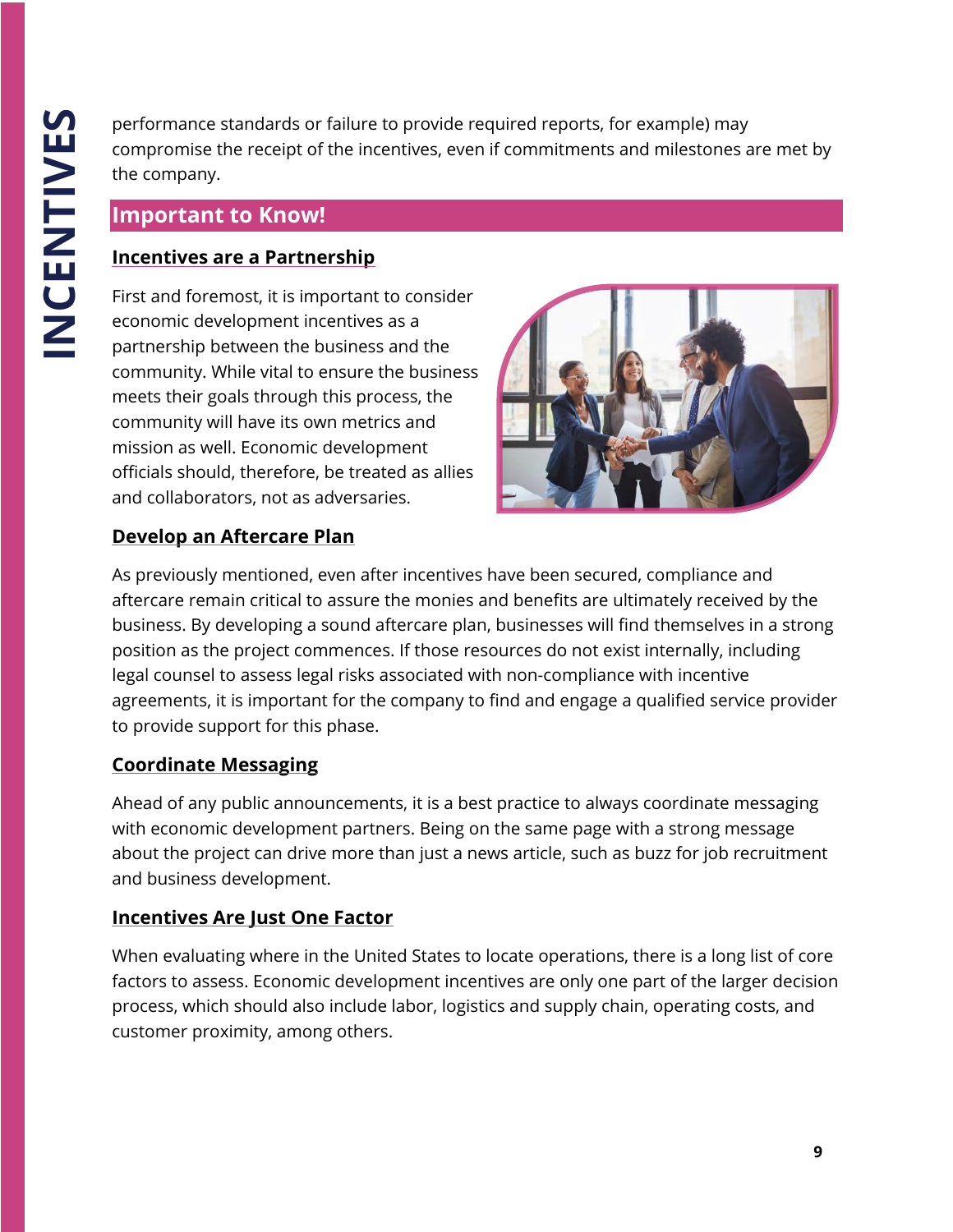performance standards or failure to provide required reports, for example) may compromise the receipt of the incentives, even if commitments and milestones are met by the company.

#### **Important to Know!**

#### **Incentives are a Partnership**

First and foremost, it is important to consider economic development incentives as a partnership between the business and the community. While vital to ensure the business meets their goals through this process, the community will have its own metrics and mission as well. Economic development officials should, therefore, be treated as allies and collaborators, not as adversaries.



#### **Develop an Aftercare Plan**

As previously mentioned, even after incentives have been secured, compliance and aftercare remain critical to assure the monies and benefits are ultimately received by the business. By developing a sound aftercare plan, businesses will find themselves in a strong position as the project commences. If those resources do not exist internally, including legal counsel to assess legal risks associated with non-compliance with incentive agreements, it is important for the company to find and engage a qualified service provider to provide support for this phase.

#### **Coordinate Messaging**

Ahead of any public announcements, it is a best practice to always coordinate messaging with economic development partners. Being on the same page with a strong message about the project can drive more than just a news article, such as buzz for job recruitment and business development.

#### **Incentives Are Just One Factor**

When evaluating where in the United States to locate operations, there is a long list of core factors to assess. Economic development incentives are only one part of the larger decision process, which should also include labor, logistics and supply chain, operating costs, and customer proximity, among others.